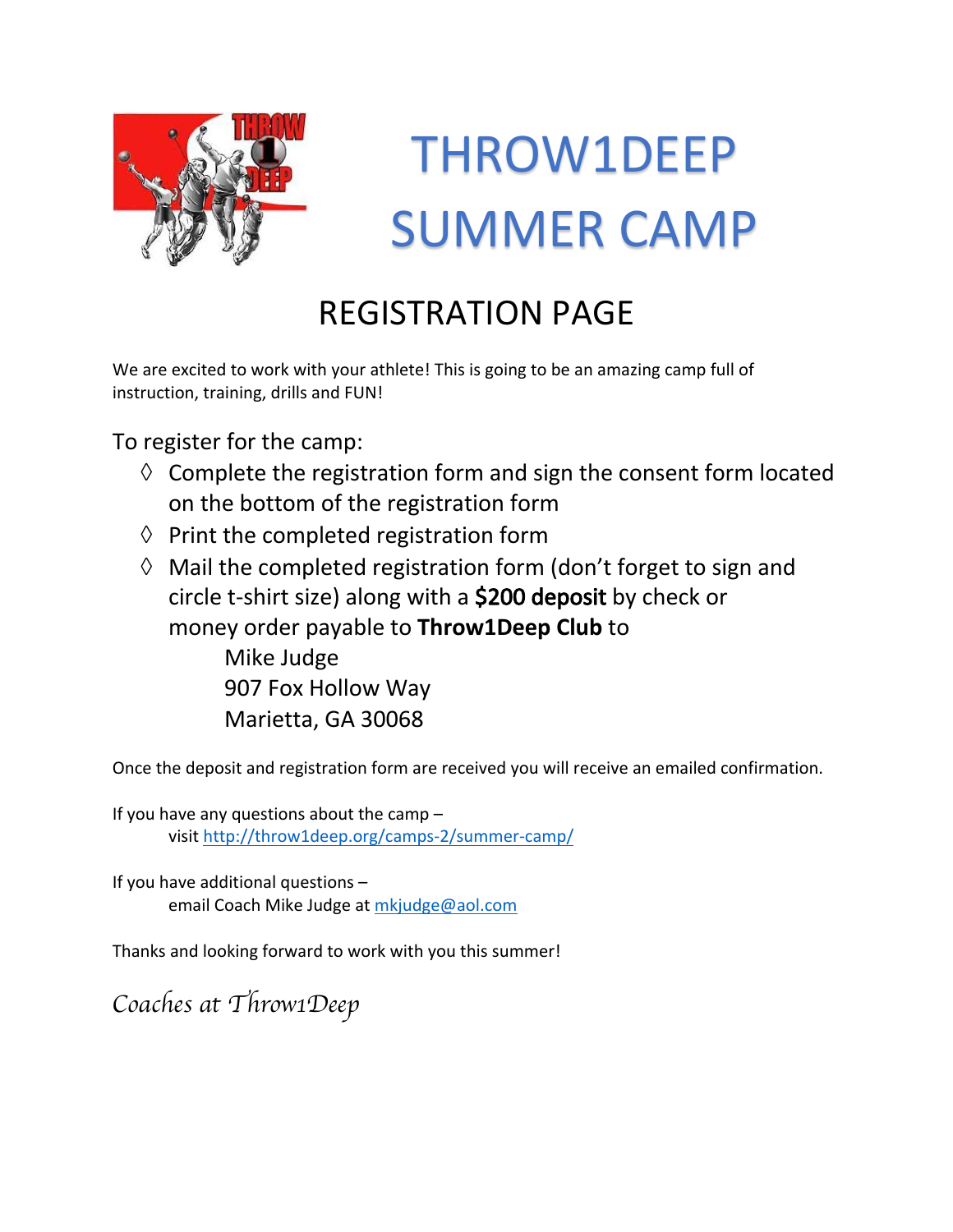

## THROW1DEEP SUMMER CAMP

## REGISTRATION PAGE

We are excited to work with your athlete! This is going to be an amazing camp full of instruction, training, drills and FUN!

To register for the camp:

- $\Diamond$  Complete the registration form and sign the consent form located on the bottom of the registration form
- $\Diamond$  Print the completed registration form
- $\Diamond$  Mail the completed registration form (don't forget to sign and circle t-shirt size) along with a \$200 deposit by check or money order payable to **Throw1Deep Club** to Mike Judge

907 Fox Hollow Way Marietta, GA 30068

Once the deposit and registration form are received you will receive an emailed confirmation.

If you have any questions about the camp  $$ visit http://throw1deep.org/camps-2/summer-camp/

If you have additional questions – email Coach Mike Judge at mkjudge@aol.com

Thanks and looking forward to work with you this summer!

*Coaches at Throw1Deep*